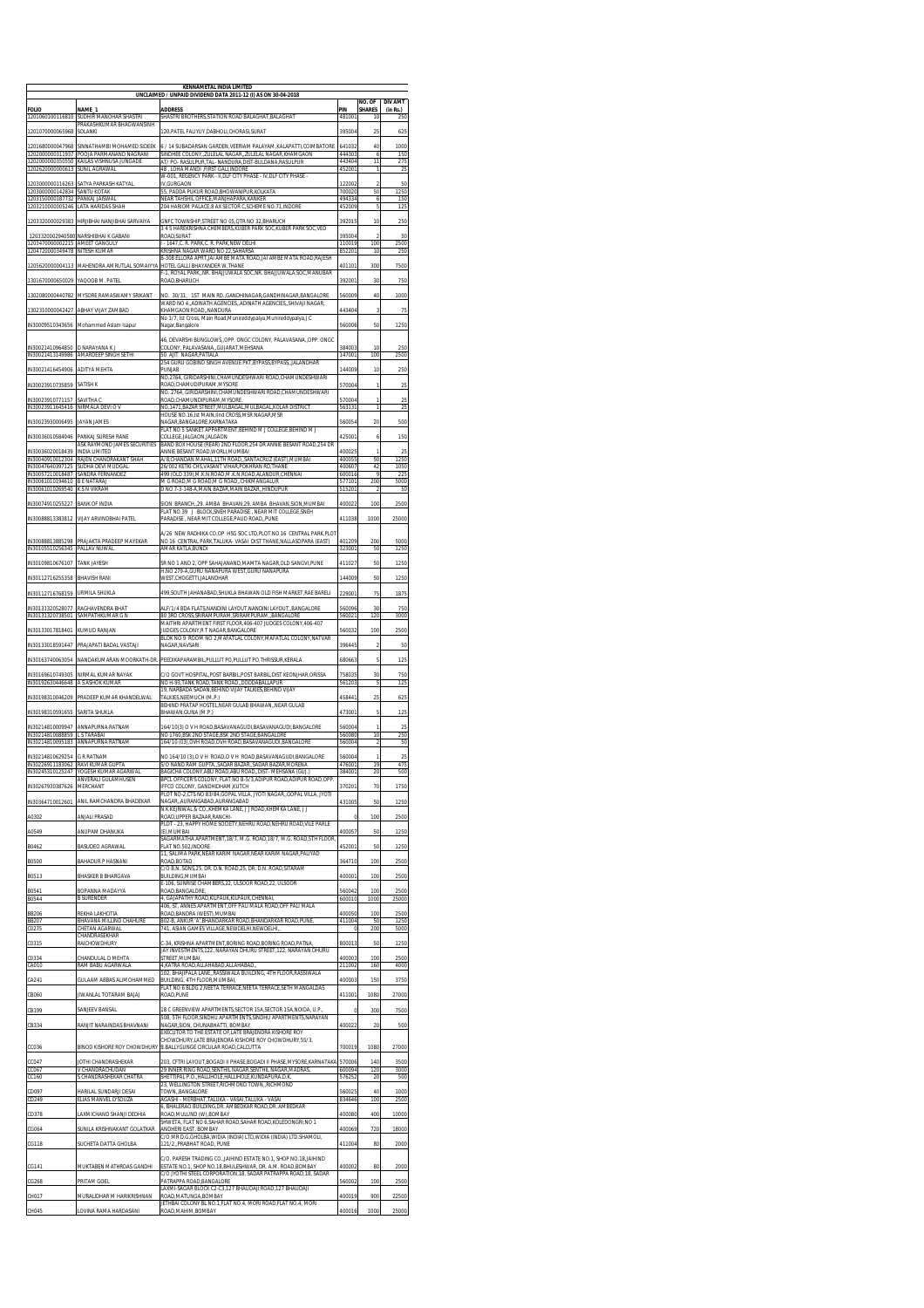| KENNAMETAL INDIA LIMITED<br>UNCLAIMED / UNPAID DIVIDEND DATA 2011-12 (I) AS ON 30-04-2018 |                                                          |                                                                                                                                                                             |                            |                         |                            |  |  |  |
|-------------------------------------------------------------------------------------------|----------------------------------------------------------|-----------------------------------------------------------------------------------------------------------------------------------------------------------------------------|----------------------------|-------------------------|----------------------------|--|--|--|
| <b>FOLIO</b>                                                                              | NAME 1                                                   | <b>ADDRESS</b>                                                                                                                                                              | PIN                        | NO. OF<br><b>SHARES</b> | <b>DIV AMT</b><br>(in Rs.) |  |  |  |
| 1201060100116810                                                                          | SUDHIR MANOHAR SHASTRI<br>PRAKASHKUMAR BHAGWANSINH       | SHASTRI BROTHERS, STATION ROAD BALAGHAT, BALAGHAT                                                                                                                           | 48100                      | 10                      |                            |  |  |  |
| 1201070000065968                                                                          | SOLANKI                                                  | 120. PATEL FALIYUY. DABHOLI.CHORASI. SURAT                                                                                                                                  | 395004                     | 25                      | 625                        |  |  |  |
| 1201680000047968<br>1202000000311937                                                      | SINNATHAMBI MOHAMED SIDEEK<br>POOJA PARMANAND NAGRANI    | 6 / 14 SUBADARSAN GARDEN, VEERIAM PALAYAM, KALAPATTI, COIMBATORE<br>SINDHEE COLONY,,ZULELAL NAGAR,,ZULELAL NAGAR,KHAMGAON                                                   | 641032<br>444303           | 40<br>6                 | 1000<br>150                |  |  |  |
| 1202000000350550<br>1202620000000613                                                      | KAILAS VISHNUSA JUNGADE<br>SUNIL AGRAWAL                 | AT/ PO- RASULPUR, TAL - NANDURA, DIST-BULDANA, RASULPUR<br>48 . LOHA MANDI .FIRST GALI.INDORE                                                                               | 443404<br>452001           | 11<br>1                 | 275<br>25                  |  |  |  |
| 1203000000116263                                                                          | SATYA PARKASH KATYAL                                     | W-001. REGENCY PARK - II.DLF CITY PHASE - IV.DLF CITY PHASE<br>IV, GURGAON                                                                                                  | 122002                     |                         | 50                         |  |  |  |
| 1203000000142834<br>1203150000187732 PANKAJ JAISWAI                                       | SANTU KOTAK                                              | 55, PADDA PUKUR ROAD, BHOWANIPUR, KOLKATA<br>NEAR TAHSHIL OFFICE,MANJHAPARA,KANKER                                                                                          | 700020<br>494334           | 50<br>6                 | 1250<br>150                |  |  |  |
| 1203210000005246                                                                          | LATA HARIDAS SHAH                                        | 204 HARIOM PALACE, 8 AX SECTOR C, SCHEME NO. 71, INDORE                                                                                                                     | 452009                     | 5                       | 125                        |  |  |  |
| 1203320000029383                                                                          | HIRJIBHAI NANJIBHAI SARVAIYA                             | GNFC TOWNSHIP, STREET NO 05, QTR NO 32, BHARUCH<br>3 4 5 HAREKRISHNA CHEMBERS, KUBER PARK SOC, KUBER PARK SOC, VED                                                          | 392015                     | 10                      | 250                        |  |  |  |
| 1203320002940580<br>1203470000002215 AMEET GANGULY                                        | NARSHIBHAI K GABANI                                      | ROAD.SURAT<br>- 1647, C. R. PARK, C. R. PARK, NEW DELHI                                                                                                                     | 39500<br>110019            | 100                     | 50<br>2500                 |  |  |  |
| 1204720000349478                                                                          | <b>NITESH KUMAR</b>                                      | KRISHNA NAGAR WARD NO 22.SAHARSA<br>B-308 ELLORA APRT, JAI AMBE MATA ROAD, JAI AMBE MATA ROAD, RAJESH                                                                       | 852201                     | 10                      | 250                        |  |  |  |
| 1205620000004113                                                                          | MAHENDRA AMRUTLAL SOMAIYYA                               | HOTEL GALLI BHAYANDER W, THANE<br>F-1, ROYAL PARK,,NR. BHAJJUWALA SOC,NR. BHAJJUWALA SOC,MANUBAR                                                                            | 401101                     | 300                     | 7500                       |  |  |  |
| 1301670000650029                                                                          | YAQOOB M. PATEL                                          | ROAD.BHARUCH                                                                                                                                                                | 392001                     | 30                      | 750                        |  |  |  |
| 1302080000440782                                                                          | MYSORE RAMASWAMY SRIKANT                                 | NO. 30/31, 1ST MAIN RD., GANDHINAGAR, GANDHINAGAR, BANGALORE<br>WARD NO 4, ADINATH AGENCIES, ADINATH AGENCIES, SHIVAJI NAGAR,                                               | 560009                     | 40                      | 1000                       |  |  |  |
| 1302310000042427                                                                          | ABHAY VIJAY ZAMBAD                                       | KHAMGAON ROAD, NANDURA<br>No 1/7, Ist Cross, Main Road, Munireddypalya, Munireddypalya, J C                                                                                 | 443404                     | 3                       | 75                         |  |  |  |
| IN30009510343656                                                                          | Mohammed Aslam Isapur                                    | Nagar, Bangalore                                                                                                                                                            | 560006                     | 50                      | 1250                       |  |  |  |
| IN30021410964850                                                                          | D NARAYANA K J                                           | 46, DEVARSHI BUNGLOWS, OPP. ONGC COLONY, PALAVASANA, OPP. ONGC<br>COLONY, PALAVASANA, GUJARAT, MEHSANA                                                                      | 384003                     | 10                      | 250                        |  |  |  |
| IN30021413149986                                                                          | <b>AMARDEEP SINGH SETH</b>                               | 50 AJIT NAGAR,PATIALA<br>254 GURU GOBIND SINGH AVENUE PKT.BYPASS.BYPASS.JALANDHAR                                                                                           | 147001                     | 100                     | 2500                       |  |  |  |
| IN30021416454906                                                                          | ADITYA MEHTA                                             | PUNJAB<br>NO.2764, GIRIDARSHINI, CHAMUNDESHWARI ROAD, CHAMUNDESHWARI                                                                                                        | 144009                     | 10                      | 250                        |  |  |  |
| IN30023910735859                                                                          | SATISH K                                                 | ROAD, CHAMUDIPURAM, MYSORE<br>NO. 2764, GIRIDARSHINI, CHAMUNDESHWARI ROAD, CHAMUNDESHWARI                                                                                   | 570004                     |                         | 25                         |  |  |  |
| IN30023910771157                                                                          | SAVITHA C                                                | ROAD CHAMUNDIPURAM MYSORE<br>NO.1471.BAZAR STREET.MULBAGAL.MULBAGAL.KOLAR DISTRICT                                                                                          | 570004                     |                         | 25<br>25                   |  |  |  |
| IN30023911645416                                                                          | NIRMALA DEVI O V                                         | HOUSE NO.16, Ist MAIN, IInd CROSS, MSR NAGAR, MSR                                                                                                                           | 563131                     | $\mathbf{1}$            |                            |  |  |  |
| IN30023930006495                                                                          | JAYAN JAMES                                              | NAGAR, BANGALORE, KARNATAKA<br>FLAT NO 5 SANKET APPARTMENT, BEHIND M J COLLEGE, BEHIND M J                                                                                  | 560054<br>425001           | 20                      | 500                        |  |  |  |
| IN30036010584046                                                                          | PANKAJ SURESH RANE<br>ASK RAYMOND JAMES SECURITIES       | COLLEGE TALGAON TALGAON<br>BAND BOX HOUSE (REAR) 2ND FLOOR, 254 DR ANNIE BESANT ROAD, 254 DR                                                                                |                            | 6                       | 150                        |  |  |  |
| IN30036020018439                                                                          | INDIA LIMITED<br>IN30040910012304 RAJEN CHANDRAKANT SHAH | ANNIE BESANT ROAD, WORLI, MUMBAI<br>A/8,CHANDAN MAHAL,11TH ROAD,,SANTACRUZ (EAST),MUMBAI                                                                                    | 400025<br>400055           | 50                      | 25<br>1250                 |  |  |  |
| IN30047640397125                                                                          | SUDHA DEVI MUDGAL<br>IN30057210018487 SANDRA FERNANDEZ   | 26/002 KETKI CHS, VASANT VIHAR, POKHRAN RD, THANE<br>499 (OLD 339) M K N ROAD M K N ROAD ALANDUR CHENNAL                                                                    | 400607<br>600016           | 42<br>$\mathbf Q$       | 1050<br>225                |  |  |  |
| IN30061010194610 R F NATARAI<br>IN30061010269540                                          | K S N VIKRAM                                             | M G ROAD, M G ROAD, M G ROAD, CHIKMANGALUR<br>D NO 7-3-148-A, MAIN BAZAR, MAIN BAZAR, HINDUPUR                                                                              | 577101<br>51520            | 200                     | 5000<br>50                 |  |  |  |
| IN30074910255227                                                                          | <b>BANK OF INDIA</b>                                     | JION BRANCH, 29. AMBA BHAVAN, 29. AMBA BHAVAN, SION, MUMBAI                                                                                                                 | 400022                     | 100                     | 2500                       |  |  |  |
| IN30088813383812                                                                          | <b>VIJAY ARVINDBHAI PATEL</b>                            | FLAT NO 39 J BLOCK SNEH PARADISE. NEAR MIT COLLEGE SNEH<br>PARADISE . NEAR MIT COLLEGE PAUD ROAD. PUNE                                                                      | 411038                     | 1000                    | 25000                      |  |  |  |
|                                                                                           |                                                          | A/26 NEW RADHIKA CO.OP HSG SOC LTD,PLOT NO 16 CENTRAL PARK,PLOT                                                                                                             |                            |                         |                            |  |  |  |
| IN30088813885298<br>IN30105510256345 PALLAV NUWAL                                         | PRAJAKTA PRADEEP MAYEKAR                                 | NO 16 CENTRAL PARK,TALUKA-VASAI DIST THANE,NALLASOPARA (EAST)<br>AMAR KATLA.BUNDI                                                                                           | 401209<br>323001           | 200<br>50               | 5000<br>1250               |  |  |  |
| IN30109810676107                                                                          | <b>TANK JAYESH</b>                                       | SR NO 1 AND 2, OPP SAHAJANAND, MAMTA NAGAR, OLD SANGVI, PUNE                                                                                                                | 411027                     | 50                      | 1250                       |  |  |  |
| IN30112716255358                                                                          | <b>BHAVISH RANI</b>                                      | H.NO 279-A, GURU NANAPURA WEST, GURU NANAPURA<br>WEST, CHOGETTI, JALANDHAR                                                                                                  | 144009                     | 50                      | 1250                       |  |  |  |
| IN30112716768159                                                                          | <b>URMILA SHUKLA</b>                                     | 499, SOUTH JAHANABAD, SHUKLA BHAWAN OLD FISH MARKET, RAE BARELI                                                                                                             | 229001                     | 75                      | 1875                       |  |  |  |
| IN30131320528077                                                                          | RAGHAVENDRA BHAT                                         | ALF/1/4 BDA FLATS, NANDINI LAYOUT, NANDINI LAYOUT, ,BANGALORE                                                                                                               | 560096                     | 30                      | 750                        |  |  |  |
| IN30131320738501                                                                          | SAMPATHKUMAR G N                                         | BO 3RD CROSS, SRIRAMPURAM, SRIRAMPURAM, BANGALORE<br>MAITHRI APARTMENT FIRST FLOOR.406-407 JUDGES COLONY.406-407                                                            | 560021                     | 120                     | 3000                       |  |  |  |
| IN30133017818401                                                                          | KUMUD RANJAN                                             | JUDGES COLONY.R T NAGAR.BANGALORE<br>BLOK NO 9 ROOM NO 2, MAFATLAL COLONY, MAFATLAL COLONY, NATVAR                                                                          | 560032                     | 100                     | 2500                       |  |  |  |
| IN30133018591447                                                                          | PRAJAPATI BADAL VASTAJI                                  | NAGAR, NAVSARI                                                                                                                                                              | 396445                     | 2                       | 50                         |  |  |  |
| IN30163740063054                                                                          | NANDAKUMARAN MOORKATH-DR.                                | PEEDIKAPARAMBIL, PULLUT PO, PULLUT PO, THRISSUR, KERALA                                                                                                                     | 680663                     | 5                       | 125                        |  |  |  |
| IN30169610749305                                                                          | NIRMAL KUMAR NAYAK                                       | C/O GOVT HOSPITAL,POST BARBIL,POST BARBIL,DIST KEONJHAR,ORISSA                                                                                                              | 758035                     | 30<br>5                 | 750                        |  |  |  |
| IN30192630446648                                                                          | A S ASHOK KUMAR                                          | NO H-93, TANK ROAD, TANK ROAD, , DODDABALLAPUR<br>19, NARBADA SADAN, BEHIND VIJAY TALKIES, BEHIND VIJAY<br>TALKIES NEEMLICH (M.P.)                                          | 561203                     |                         | 125                        |  |  |  |
| IN30198310046209<br>IN30198310591655                                                      | PRADEEP KUMAR KHANDELWAI<br>SARITA SHUKLA                | BEHIND PRATAP HOSTEL.NEAR GULAB BHAWANNEAR GULAB                                                                                                                            | 458441<br>473001           | 25<br>5                 | 625                        |  |  |  |
|                                                                                           |                                                          | BHAWAN, GUNA (M.P.)                                                                                                                                                         |                            |                         | 125<br>25                  |  |  |  |
| IN30214810009947<br>IN30214810088859<br>IN30214810095183                                  | ANNAPURNA RATNAM<br>L S TARABAI<br>ANNAPURNA RATNAM      | 164/10(3) O V H ROAD, BASAVANAGUDI, BASAVANAGUDI, BANGALORE<br>NO 1760, BSK 2ND STAGE, BSK 2ND STAGE, BANGALORE<br>164/10 (03), OVH ROAD, OVH ROAD, BASAVANAGUDI, BANGALORE | 560004<br>560080<br>560004 | 10<br>2                 | 250<br>50                  |  |  |  |
| IN30214810629254                                                                          |                                                          |                                                                                                                                                                             |                            |                         |                            |  |  |  |
| IN30226911183062                                                                          | <b>G R RATNAM</b><br>RAVI KUMAR GUPTA                    | NO 164/10 (3), O V H ROAD, O V H ROAD, BASAVANAGUDI, BANGALORE<br>S/O NAND RAM GUPTA, SADAR BAZAR, SADAR BAZAR, MORENA                                                      | 560004<br>476001           | 19                      | 25<br>475                  |  |  |  |
| IN30245310125247                                                                          | YOGESH KUMAR AGARWAI<br>ANVERALI GULAMHUSEN              | BAGICHA COLONY,ABU ROAD,ABU ROAD,,DIST- MEHSANA (GUJ.)<br>BPCL OFFICER'S COLONY, FLAT NO B-5/3, ADIPUR ROAD, ADIPUR ROAD, OPF                                               | 384001                     | 20                      | 500                        |  |  |  |
| IN30267930387626                                                                          | MERCHANT                                                 | IFFCO COLONY, GANDHIDHAM, KUTCH<br>PLOT NO-2,CTS NO 83/84, GOPAL VILLA, JYOTI NAGAR, GOPAL VILLA, JYOTI                                                                     | 370201                     | 70                      | 1750                       |  |  |  |
| IN30364710012601                                                                          | ANIL RAMCHANDRA BHADEKAR                                 | NAGAR, AURANGABAD, AURANGABAD<br>N K KEJRIWAL & CO., KHEMKA LANE, J J ROAD, KHEMKA LANE, J J                                                                                | 431005                     | 50                      | 1250                       |  |  |  |
| A0302                                                                                     | ANJALI PRASAD                                            | ROAD.UPPER BAZAAR.RANCHI-<br>PLOT - 23. HAPPY HOME SOCIETY. NEHRU ROAD. NEHRU ROAD. VILE PARLE                                                                              | $^{\circ}$                 | 100                     | 2500                       |  |  |  |
| A0549                                                                                     | ANUPAM DHANUKA                                           | (E), MUMBAI<br>.<br>GAGARMATHA APARTMENT,18/7, M.G. ROAD,18/7, M.G. ROAD,5TH FLOOR,                                                                                         | 400057                     | 50                      | 1250                       |  |  |  |
| B0462                                                                                     | BASUDEO AGRAWAL                                          | FLAT NO.502.INDORE<br>11, SALIMA PARK, NEAR KARIM NAGAR, NEAR KARIM NAGAR, PALIYAD                                                                                          | 452001                     | 50                      | 1250                       |  |  |  |
| <b>B0500</b>                                                                              | BAHADUR P HASNANI                                        | ROAD.BOTAD<br>C/O B.N. SONS, 25, DR. D.N. ROAD, 25, DR. D.N. ROAD, SITARAM                                                                                                  | 364710                     | 100                     | 2500                       |  |  |  |
| B0513                                                                                     | <b>BHASKER B BHARGAVA</b>                                | BUILDING, MUMBAI<br>E-106, SUNRISE CHAMBERS, 22, ULSOOR ROAD, 22, ULSOOR                                                                                                    | 400001                     | 100                     | 2500                       |  |  |  |
| B0541<br>B0544                                                                            | ROPANNA MADAYYA<br><b>B SURENDER</b>                     | ROAD.BANGALORE.<br>4, GAJAPATHY ROAD, KILPAUK, KILPAUK, CHENNAI,                                                                                                            | 560042<br>600010           | 100<br>1000             | 2500<br>25000              |  |  |  |
| <b>BB206</b>                                                                              | REKHA LAKHOTIA                                           | 406, ST. ANNES APARTMENT, OFF PALI MALA ROAD, OFF PALI MALA<br>ROAD, BANDRA (WEST), MUMBAI                                                                                  | 400050                     | 100                     | 2500                       |  |  |  |
| <b>BB207</b><br>C0275                                                                     | BHAVANA MILLIND CHAHURE<br>CHETAN AGARWAL                | 802-B, ANKUR 'A', BHANDARKAR ROAD, BHANDARKAR ROAD, PUNE<br>741, ASIAN GAMES VILLAGE, NEWDELHI, NEWDELHI,                                                                   | 411004<br>$^{\circ}$       | 50<br>200               | 1250<br>5000               |  |  |  |
| C0315                                                                                     | CHANDRASEKHAR<br><b>RAICHOWDHURY</b>                     | C-34, KRISHNA APARTMENT, BORING ROAD, BORING ROAD, PATNA                                                                                                                    | 800013                     | 50                      | 1250                       |  |  |  |
| C0334                                                                                     | CHANDULAL D MEHTA                                        | JAY INVESTMENTS, 122, NARAYAN DHURU STREET, 122, NARAYAN DHURU<br>STREET.MUMBAI.                                                                                            | 400003                     | 100                     | 2500                       |  |  |  |
| CA010                                                                                     | RAM BABU AGARWALA                                        | 4, KATRA ROAD, ALLAHABAD, ALLAHABAD,<br>102 BHAIIPALA LANE RASSIWALA BUILDING 4TH ELOOR RASSIWALA                                                                           | 211002                     | 160                     | 4000                       |  |  |  |
| CA241                                                                                     | GULAAM ABBAS ALIMOHAMMED                                 | BUILDING, 4TH FLOOR, MUMBAI,<br>FLAT NO 6 BLDG 2, NEETA TERRACE, NEETA TERRACE, SETH MANGALDAS                                                                              | 400003                     | 150                     | 3750                       |  |  |  |
| CB060                                                                                     | <b>JIWANLAL TOTARAM BAJAJ</b>                            | ROAD, PUNE                                                                                                                                                                  | 411001                     | 1080                    | 27000                      |  |  |  |
| CB199                                                                                     | SANJEEV BANSAL                                           | 18 C GREENVIEW APARTMENTS.SECTOR 15A.SECTOR 15A.NOIDA, U.P.<br>508. 5TH FLOOR SINDHU APARTMENTS SINDHU APARTMENTS NARAYAN                                                   | $\theta$                   | 300                     | 7500                       |  |  |  |
| CB334                                                                                     | RANJIT NARAINDAS BHAVNANI                                | NAGAR, SION, CHUNABHATTI, BOMBAY<br>EXECUTOR TO THE ESTATE OF ,LATE BRAJENDRA KISHORE ROY                                                                                   | 400022                     | 20                      | 500                        |  |  |  |
| CC036                                                                                     |                                                          | CHOWDHURY, LATE BRAJENDRA KISHORE ROY CHOWDHURY, 55/3,<br>BINOD KISHORE ROY CHOWDHURY B.BALLYGUNGE CIRCULAR ROAD.CALCUTTA                                                   | 700019                     | 1080                    | 27000                      |  |  |  |
| CC047                                                                                     | <b>IOTHI CHANDRASHEKAR</b>                               | 203, CFTRI LAYOUT, BOGADI II PHASE, BOGADI II PHASE, MYSORE, KARNATAKA                                                                                                      | 570006                     | 140                     | 3500                       |  |  |  |
| CC067<br>CC160                                                                            | V CHANDRACHUDAN<br>S CHANDRASHEKAR CHATRA                | 29 INNER RING ROAD, SENTHIL NAGAR, SENTHIL NAGAR, MADRAS<br>HETTIPAL P.O.,HALLIHOLE,HALLIHOLE,KUNDAPURA,D.K                                                                 | 600094<br>576252           | 120<br>20               | 3000<br>500                |  |  |  |
| CD097                                                                                     | HARILAL SUNDARJI DESAI                                   | 23, WELLINGTON STREET, RICHMOND TOWN, RICHMOND<br>TOWN. BANGALORE                                                                                                           | 560025                     | 40                      | 1000                       |  |  |  |
| CD249                                                                                     | ELIAS MANVEL D'SOUZA                                     | AGASHI - MERBHAT,TALUKA - VASAI,TALUKA - VASAI                                                                                                                              | 834646                     | 100                     | 2500                       |  |  |  |
| CD378                                                                                     | AXMICHAND SHANJI DEDHIA                                  | 6, BHALERAO BUILDING, DR. AMBEDKAR ROAD, DR. AMBEDKAR<br>ROAD, MULUND (W), BOMBAY<br>SHWETA. FLAT NO 6.SAHAR ROAD.SAHAR ROAD.KOLEDONGRI.NO 1                                | 400080                     | 400                     | 10000                      |  |  |  |
| CG064                                                                                     | SUNILA KRISHNAKANT GOLATKAR                              | ANDHERI EAST, BOMBAY                                                                                                                                                        | 400069                     | 720                     | 18000                      |  |  |  |
| CG118                                                                                     | SUCHETA DATTA GHOLBA                                     | C/O MR D.G.GHOLBA, WIDIA (INDIA) LTD, WIDIA (INDIA) LTD, SHAMOLI,<br>121/2, PRABHAT ROAD, PUNE                                                                              | 411004                     | 80                      | 2000                       |  |  |  |
|                                                                                           |                                                          | C/O. PARESH TRADING CO. JAIHIND ESTATE NO.1. SHOP NO.18 JAIHIND                                                                                                             |                            |                         |                            |  |  |  |
| CG141                                                                                     | MUKTABEN MATHRDAS GANDHI                                 | ESTATE NO.1, SHOP NO.18, BHULESHWAR, DR. A.M. ROAD, BOMBAY<br>C/O JYOTHI STEEL CORPORATION, 18, SADAR PATRAPPA ROAD, 18, SADAR                                              | 400002                     | 80                      | 2000                       |  |  |  |
| CG268                                                                                     | PRITAM GOEL                                              | PATRAPPA ROAD, BANGALORE<br>LAXMI-SAGAR BLOCK C2-C3,127 BHAUDAJI ROAD,127 BHAUDAJI                                                                                          | 560002                     | 100                     | 2500                       |  |  |  |
| CH017                                                                                     | MURALIDHAR M HARIKRISHNAN                                | ROAD.MATUNGA.BOMBAY<br>JETHBAI COLONY BL NO.1.FLAT NO.4. MORI ROAD.FLAT NO.4. MORI                                                                                          | 400019                     | 900                     | 22500                      |  |  |  |
| CH045                                                                                     | LOVINA RAMA HARDASANI                                    | ROAD, MAHIM, BOMBAY                                                                                                                                                         | 400016                     | 1000                    | 25000                      |  |  |  |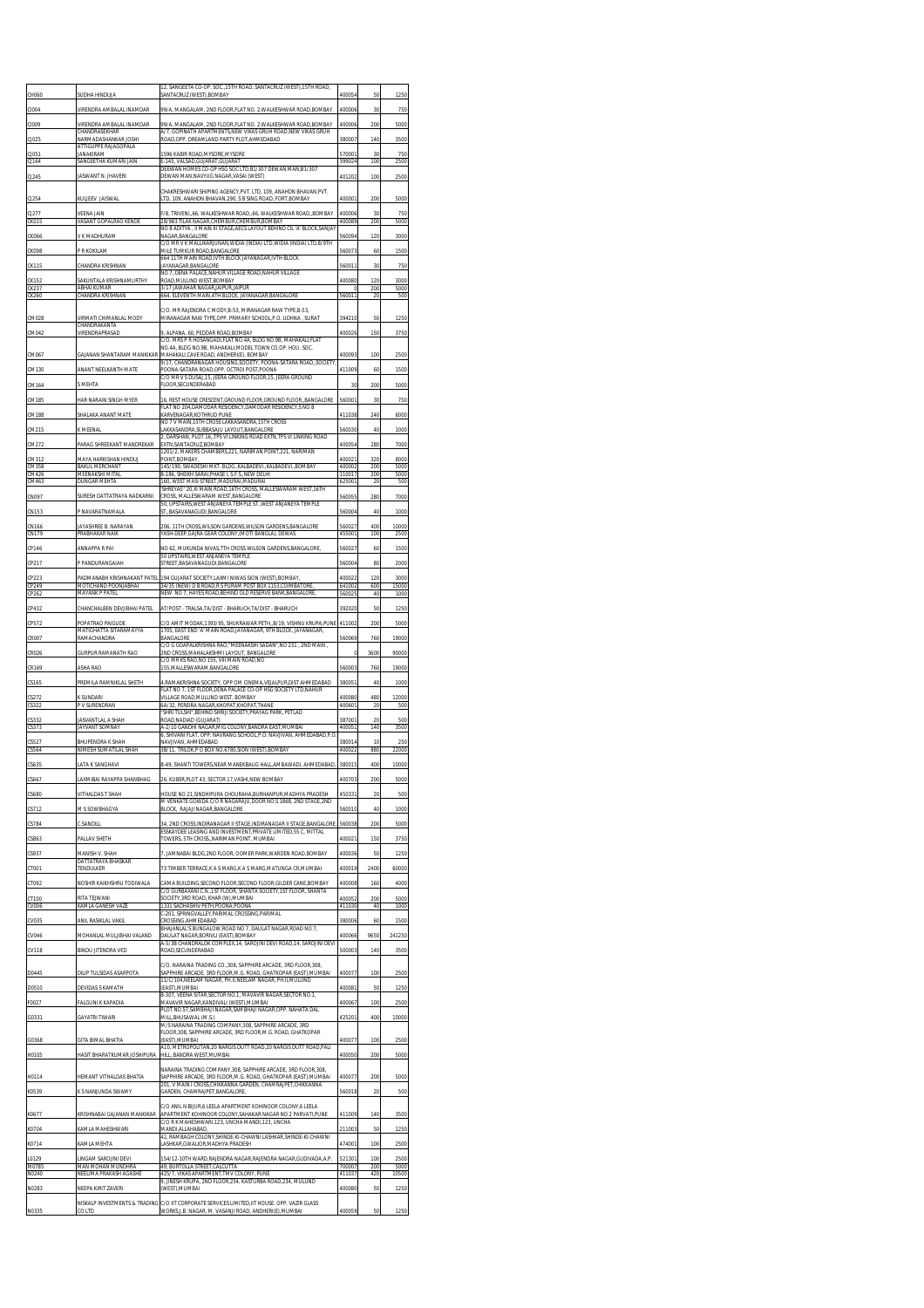| CH060                   | SUDHA HINDUJA                                                            | 12. SANGEETA CO-OP. SOC., 15TH ROAD. SANTACRUZ (WEST), 15TH ROAD.<br>SANTACRUZ (WEST),BOMBAY                                                                                              | 400054                | 50               | 1250                |
|-------------------------|--------------------------------------------------------------------------|-------------------------------------------------------------------------------------------------------------------------------------------------------------------------------------------|-----------------------|------------------|---------------------|
| CI004<br>CI009          | VIRENDRA AMBALAL INAMDAR<br>VIRENDRA AMBALAL INAMDAR                     | 99/A. MANGALAM. 2ND FLOOR.FLAT NO. 2.WALKESHWAR ROAD.BOMBAY<br>99/A. MANGALAM. 2ND FLOOR.FLAT NO. 2.WALKESHWAR ROAD.BOMBAY                                                                | 400006<br>400006      | 30<br>200        | 750<br>5000         |
| CJ025                   | CHANDRASEKHAR<br>VARMADASHANKAR IOSHI<br>ATTIGUPPE RAJAGOPALA            | A/7, GOPINATH APARTMENTS, NEW VIKAS GRUH ROAD, NEW VIKAS GRUH<br>ROAD, OPP. DREAMLAND PARTY PLOT, AHMEDABAD                                                                               | 380007                | 140              | 3500                |
| CJ051<br>CJ164          | <b>ANAKIRAM</b><br>SANGEETHA KUMARI JAIN                                 | 1596 KABIR ROAD, MYSORE, MYSORE<br>F-145 VALSAD GUIARAT GUIARAT                                                                                                                           | 570001<br>399024      | 30<br>100        | 750<br>2500         |
| CJ245                   | JASWANT N. JHAVERI                                                       | DEEWAN HOMES CO-OP HSG SOC LTD, B1/307 DEWAN MAN, B1/307<br>DEWAN MAN, NAVYUG NAGAR, VASAI (WEST)                                                                                         | 401202                | 100              | 2500                |
| CJ254                   | KULJEEV JAISWAL                                                          | CHAKRESHWARI SHIPING AGENCY.PVT. LTD. 109. ANAHDN BHAVAN.PVT.<br>LTD, 109, ANAHDN BHAVAN, 290, S B SING ROAD, FORT, BOMBAY                                                                | 400001                | 200              | 5000                |
| CJ277<br>CKO15          | VEENA JAIN<br>VASANT GOPALRAO KENDI                                      | F/8, TRIVENI,,66, WALKESHWAR ROAD,,66, WALKESHWAR ROAD,,BOMBAY<br>28/983 TILAK NAGAR, CHEMBUR, CHEMBUR, BOMBAY<br>NO 8 ADITYA . II MAIN III STAGE AECS LAYOUT BEHIND CIL 'A' BLOCK SANJAY | 400006<br>400089      | 30<br>200        | 750<br>5000         |
| CK066                   | V K MADHURAM                                                             | NAGAR BANGALORE<br>C/O MR V K MALLIKARJUNAN, WIDIA (INDIA) LTD, WIDIA (INDIA) LTD, 8/9TH                                                                                                  | 560094                | 120              | 3000                |
| <b>CK098</b><br>CK115   | P R KOKILAM<br>CHANDRA KRISHNAN                                          | MILE TUMKUR ROAD, BANGALORE<br>664 11TH MAIN ROAD, IVTH BLOCK JAYANAGAR, IVTH BLOCK<br>JAYANAGAR.BANGALORE                                                                                | 560073<br>560011      | 60<br>30         | 1500<br>750         |
| CK152<br>CK237<br>CK260 | SAKUNTALA KRISHNAMURTHY<br>ABHAI KUMAR<br>CHANDRA KRISHNAN               | NO 7. DENA PALACE NAHUR VILLAGE ROAD NAHUR VILLAGE<br>ROAD, MULUND WEST, BOMBAY<br>3/17 JAWAHAR NAGAR JAIPUR, JAIPUR<br>664, ELEVENTH MAIN, 4TH BLOCK, JAYANAGAR, BANGALORE               | 400080<br>O<br>560011 | 120<br>200<br>20 | 3000<br>5000<br>500 |
|                         |                                                                          | C/O. MR RAJENDRA C MODY.B-53. MIRANAGAR RAW TYPE.B-53.                                                                                                                                    |                       |                  |                     |
| CM028<br>CM042          | VIRMATI CHIMANLAL MODY<br>CHANDRAKANTA<br>VIRENDRAPRASAD                 | MIRANAGAR RAW TYPE,OPP. PRIMARY SCHOOL,P.O. UDHNA, SURAT<br>9, ALPANA, 60, PEDDAR ROAD, BOMBAY                                                                                            | 394210<br>400026      | 50<br>150        | 1250<br>3750        |
| CM067                   | GAJANAN SHANTARAM MANKIKAR                                               | C/O. MRS P R HOSANGADI, FLAT NO.4A, BLDG NO.9B, MAHAKALI, FLAT<br>NO.4A. BLDG NO.9B. MAHAKALI.MODEL TOWN CO.OP. HOU. SOC.<br>MAHAKALI, CAVE ROAD, ANDHERI(E), BOMBAY                      | 400093                | 100              | 2500                |
| CM130                   | ANANT NEELKANTH MATE                                                     | 9/17, CHANDRANAGAR HOUSING, SOCIETY, POONA-SATARA ROAD, SOCIETY<br>POONA-SATARA ROAD, OPP. OCTROI POST, POONA                                                                             | 411009                | 60               | 1500                |
| CM164                   | S MEHTA                                                                  | C/O MR V S DUSAJ.15. JEERA GROUND FLOOR.15. JEERA GROUND<br>FLOOR SECUNDERABAD                                                                                                            | 30                    | 200              | 5000                |
| CM185                   | HAR NARAIN SINGH MYER                                                    | 16, REST HOUSE CRESCENT, GROUND FLOOR, GROUND FLOOR, BANGALORE<br>FLAT NO 204, DAMODAR RESIDENCY, DAMODAR RESIDENCY, S NO 8                                                               | 560001                | 30               | 750                 |
| CM188                   | SHALAKA ANANT MATE                                                       | KARVENAGAR.KOTHRUD PUNE<br>NO 7 V MAIN.15TH CROSS LAKKASANDRA.15TH CROSS                                                                                                                  | 411038                | 240              | 6000                |
| CM215                   | K MEENAL                                                                 | LAKKASANDRA, SUBBASAJU LAYOUT, BANGALORE<br>2, DARSHAN, PLOT 16, TPS VI LINKING ROAD EXTN, TPS VI LINKING ROAD                                                                            | 560030                | 40               | 1000                |
| CM272<br>CM312          | <b>PARAG SHREEKANT MANDREKAR</b>                                         | EXTN.SANTACRUZ.BOMBAY<br>1201/2. MAKERS CHAMBERS.221. NARIMAN POINT 221. NARIMAN<br>POINT ROMRAY                                                                                          | 40005<br>400021       | 280<br>320       | 7000<br>8000        |
| CM358<br>CM426          | MAYA HARKISHAN HINDUJ<br><b><i>RAKUL MERCHANT</i></b><br>MEENAKSHI MITAL | 145/190, SWADESHI MKT. BLDG., KALBADEVI., KALBADEVI., BOMBAY<br>B-186, SHEIKH SARAI, PHASE I, S.F.S., NEW DELHI                                                                           | 400002<br>110017      | 200<br>200       | 5000<br>5000        |
| CM463                   | DUNGAR MEHTA                                                             | 160, WEST MASI STREET, MADURAI, MADURAI<br>SHREYAS" 20, XI MAIN ROAD, 16TH CROSS, MALLESWARAM WEST, 16TH                                                                                  | 625001                | 20               | 500                 |
| CN097<br>CN153          | SURESH DATTATRAYA NADKARNI<br>P NAVARATNAMALA                            | CROSS. MALLESWARAM WEST.BANGALORE<br>50. UPSTAIRS.WEST ANJANEYA TEMPLE STWEST ANJANEYA TEMPLE<br>ST., BASAVANAGUDI, BANGALORE                                                             | 560055<br>560004      | 280<br>40        | 7000<br>1000        |
| CN166                   | AYASHREE B. NARAYAN                                                      | 206, 11TH CROSS, WILSON GARDENS, WILSON GARDENS, BANGALORE                                                                                                                                | 560027                | 400              | 10000               |
| CN179                   | PRABHAKAR NAIK                                                           | YASH-DEEP, GAJRA GEAR COLONY, (MOTI BANGLA), DEWAS                                                                                                                                        | 455001                | 100              | 2500                |
| CP146<br>CP217          | ANNAPPA R PAI<br>P PANDURANGAIAH                                         | NO 62, MUKUNDA NIVAS, 7TH CROSS WILSON GARDENS, BANGALORE<br>50 UPSTAIRS, WEST ANJANEYA TEMPLE<br>STREET, BASAVANAGUDI, BANGALORE                                                         | 560027<br>560004      | 60<br>80         | 1500<br>2000        |
| CP223                   | PADMANABH KRISHNAKANT PATEL                                              | 194 GUJARAT SOCIETY, LAXMI NIWAS SION (WEST), BOMBAY,                                                                                                                                     | 400022                | 120              | 3000                |
| CP249<br>CP262          | MOTICHAND POONJABHAI<br><b>MAYANK P PATEL</b>                            | 34/35 (NEW) D B ROAD, R S PURAM POST BOX 1153, COIMBATORE<br>NEW NO 7, HAYES ROAD, BEHIND OLD RESERVE BANK, BANGALORE                                                                     | 641002<br>56002       | 600<br>40        | 15000<br>1000       |
| CP432                   | CHANCHALBEN DEVJIBHAI PATEL                                              | AT/POST - TRALSA.TA/DIST - BHARUCH.TA/DIST - BHARUCH                                                                                                                                      | 392020                | 50               | 1250                |
| CP572                   | POPATRAO PAIGUDE<br>MATIGHATTA SITARAMAYYA                               | C/O AMIT MODAK, 1393/95, SHUKRAWAR PETH, B/19, VISHNU KRUPA, PUNE<br>1705, EAST END 'A' MAIN ROAD, JAYANAGAR, 9TH BLOCK, JAYANAGAR,                                                       | 411002                | 200              | 5000                |
| CR007                   | RAMACHANDRA                                                              | BANGALORE<br>C/O G GOAPALKRISHNA RAO. "MEENAKSHI SADAN".NO 231 . 2ND MAIN.                                                                                                                | 560069                | 760              | 19000               |
|                         |                                                                          |                                                                                                                                                                                           |                       |                  |                     |
| CR026<br>CR169          | GURPUR RAMANATH RAC<br>ASHA RAO                                          | 2ND CROSS, MAHALAKSHMI LAYOUT, BANGALORE<br>C/O MR KS RAO,NO 155, VIII MAIN ROAD,NO<br>155, MALLESWARAM, BANGALORE                                                                        | 0<br>560003           | 3600<br>760      | 90000<br>19000      |
| CS165                   | PREMILA RAMNIKLAL SHETH                                                  | 4.RAMAKRISHNA SOCIETY. OPP OM CINEMA.VEJALPUR.DIST AHMEDABAD                                                                                                                              | 380051                | 40               | 1000                |
| CS272<br>CS322          | <b>K SUNDARI</b><br>V SURENDRAN                                          | FLAT NO 7. 1ST FLOOR DENA PALACE CO-OP HSG SOCIETY LTD. NAHUR<br>VILLAGE ROAD, MULUND WEST, BOMBAY<br>6A/32, PEREIRA NAGAR, KHOPAT, KHOPAT, THANE                                         | 400080<br>400601      | 480<br>20        | 12000<br>500        |
| CS332                   | <b>JASVANTLAL A SHAH</b>                                                 | 'SHRI TULSHI", BEHIND SHRIJI SOCIETY, PRAYAG PARK, PETLAD<br>ROAD NADIAD (GUIARAT)                                                                                                        | 387001<br>400051      | 20<br>140        | 500                 |
| CS373<br>CS527          | JAYVANT SOMNAY<br>BHUPENDRA K SHAH                                       | A-2/10 GANDHI NAGAR, MIG COLONY, BANDRA EAST, MUMBAI<br>6. SHIVANI FLAT, OPP, NAVRANG SCHOOL,P.O. NAVJIVAN, AHMEDABAD,P.O<br>NAVJIVAN, AHMEDABAD                                          | 380014                | 10               | 3500<br>250         |
| CS564                   | NIMESH SUMATILAL SHAH                                                    | 3B/11, TRILOK,P O BOX NO.6780,SION (WEST),BOMBAY                                                                                                                                          | 400022                | 880              | 22000               |
| CS635                   | ATA K SANGHAVI<br><b>VERIDAL DAV</b>                                     | B-49, SHANTI TOWERS, NEAR MANEKBAUG HALL, AMBAWADI, AHMEDABAD                                                                                                                             | 380015                | 400              | 10000<br>5000       |
| CS680                   | <b>VITHALDAST SHAH</b>                                                   | HOUSE NO.21, SINDHIPURA CHOURAHA, BURHANPUR, MADHYA PRADESH                                                                                                                               | 450331                | 20               | 500                 |
| CS712                   | M S SOWBHAGYA                                                            | M VENKATE GOWDA C/O R NAGARAJU,DOOR NO.S 1868, 2ND STAGE,2ND<br>BLOCK, RAJAJI NAGAR, BANGALORE                                                                                            | 560010                | 40               | 1000                |
| CS784                   | C.SANDILL                                                                | 34, 2ND CROSS, INDIRANAGAR II STAGE, INDIRANAGAR II STAGE, BANGALORE,<br>ESSKAYDEE LEASING AND INVESTMENT, PRIVATE LIMITED, 55 C, MITTAL                                                  | 560038                | 200              | 5000                |
| CS863<br>CS937          | PALLAV SHETH<br><b>MANISH V. SHAH</b>                                    | TOWERS, 5TH CROSS, NARIMAN POINT, MUMBAI                                                                                                                                                  | 400021<br>400036      | 150<br>50        | 3750<br>1250        |
| CT001                   | DATTATRAYA BHASKAR<br>TENDULKER                                          | 7, JAMNABAI BLDG,2ND FLOOR, OOMER PARK,WARDEN ROAD,BOMBAY<br>73 TIMBER TERRACE,K A S MARG,K A S MARG,MATUNGA CR,MUMBAI                                                                    | 400019                | 2400             | 60000               |
| CT092                   | NOSHIR KAIKHSHRU TODIWALA                                                | CAMA BUILDING.SECOND FLOOR.SECOND FLOOR.GILDER CANE.BOMBAY                                                                                                                                | 400008                | 160              | 4000                |
| CT100<br>CV006          | RITA TEJWANI<br>KAMLA GANESH VAZE                                        | C/O GURBAXANI C.N.,1ST FLOOR, SHANTA SOCIETY,1ST FLOOR, SHANTA<br>SOCIETY, 3RD ROAD, KHAR (W), MUMBAI<br>1331 SADHASHIV PETH, POONA, POONA                                                | 400052<br>411030      | 200<br>40        | 5000<br>1000        |
| CV035                   | ANIL RASIKLAL VAKIL                                                      | C-201, SPRINGVALLEY, PARIMAL CROSSING, PARIMAL<br>CROSSING AHMEDABAD                                                                                                                      | 380006                | 60               | 1500                |
| CV046                   | MOHANLAL MULJIBHAI VALAND                                                | BHAJANLAL'S BUNGALOW, ROAD NO 7, DAULAT NAGAR, ROAD NO 7,<br>DAULAT NAGAR, BORIVLI (EAST), BOMBAY                                                                                         | 400066                | 9650             | 241250              |
| <b>CV118</b>            | <b>BINDU JITENDRA VED</b>                                                | A-5/3B CHANDRALOK COMPLEX,14, SAROJINI DEVI ROAD,14, SAROJINI DEVI<br>ROAD, SECUNDERABAD                                                                                                  | 500003                | 140              | 3500                |
| D0445                   | DILIP TULSIDAS ASARPOTA                                                  | C/O. NARAINA TRADING CO.,308, SAPPHIRE ARCADE, 3RD FLOOR,308,<br>SAPPHIRE ARCADE, 3RD FLOOR, M.G. ROAD, GHATKOPAR (EAST), MUMBAI                                                          | 400077                | 100              | 2500                |
| D0510                   | DEVIDAS S KAMATH                                                         | 11/C/104, NEELAM NAGAR, PH.II, NEELAM NAGAR, PH.II, MULUND<br>(EAST).MUMBAI<br>B-307, VEENA SITAR, SECTOR NO.1, MAVAVIR NAGAR, SECTOR NO.1,                                               | 400081                | 50               | 1250                |
| F0027                   | ALGUNI K KAPADIA                                                         | MAVAVIR NAGAR, KANDIVALI (WEST), MUMBAI<br>PLOT NO.57,SAMBHAJI NAGAR,SAMBHAJI NAGAR,OPP. NAHATA DAL                                                                                       | 400067                | 100              | 2500                |
| G0331                   | GAYATRI TIWARI                                                           | MILL, BHUSAWAL (M.S.)<br>M/S NARAINA TRADING COMPANY, 308, SAPPHIRE ARCADE, 3RD                                                                                                           | 425201                | 400              | 10000               |
| G0368                   | SITA BIMAL BHATIA                                                        | FLOOR, 308, SAPPHIRE ARCADE, 3RD FLOOR, M.G. ROAD, GHATKOPAR<br>(EAST), MUMBAI<br>A10, METROPOLITAN, 20 NARGIS DUTT ROAD, 20 NARGIS DUTT ROAD, PALI                                       | 400077                | 100              | 2500                |
| H0105                   | HASIT BHARATKUMAR JOSHIPURA                                              | HILL, BANDRA WEST, MUMBAI                                                                                                                                                                 | 400050                | 200              | 5000                |
| H0114                   | HEMANT VITHALDAS BHATIA                                                  | NARAINA TRADING COMPANY.308. SAPPHIRE ARCADE. 3RD FLOOR.308.<br>SAPPHIRE ARCADE, 3RD FLOOR,M.G. ROAD, GHATKOPAR (EAST),MUMBAI                                                             | 400077                | 200              | 5000                |
| K0539                   | K S NANJUNDA SWAMY                                                       | 201, V MAIN I CROSS, CHIKKANNA GARDEN, CHAMRAJPET, CHIKKANNA<br>GARDEN, CHAMRAJPET, BANGALORE                                                                                             | 560018                | 20               | 500                 |
| K0677                   | KRISHNABAI GAJANAN MANKIKAR                                              | C/O ANIL N BUUR.6 LEELA APARTMENT KOHINOOR COLONY.6 LEELA<br>APARTMENT KOHINOOR COLONY, SAHAKAR NAGAR NO 2 PARVATI, PUNE                                                                  | 411009                | 140              | 3500                |
| K0704                   | KAMLA MAHESHWARI                                                         | C/O R K MAHESHWARI, 123, UNCHA MANDI, 123, UNCHA<br>MANDI ALLAHABAD<br>42, RAMBAGH COLONY, SHINDE-KI-CHAWNI LASHKAR, SHINDE-KI-CHAWNI                                                     | 211003                | 50               | 1250                |
| K0714                   | KAMLA MEHTA                                                              | LASHKAR.GWALIOR.MADHYA PRADESH                                                                                                                                                            | 474001                | 100              | 2500                |
| L0129<br>M078           | LINGAM SAROJINI DEVI<br>VAN MOHAN MUNDHRA                                | 154/12-10TH WARD, RAJENDRA NAGAR, RAJENDRA NAGAR, GUDIVADA, A.P.<br>49, BURTOLLA STREET, CALCUTTA                                                                                         | 521301<br>700007      | 100<br>200       | 2500<br>5000        |
| N0240<br>N0283          | NEELIMA PRAKASH AGASHE<br>NEEPA KIRIT ZAVERI                             | 425/7, VIKAS APARTMENT, TMV COLONY, PUNE<br>9, JINESH KRUPA, 2ND FLOOR, 234, KASTURBA ROAD, 234, MULUND<br>(WEST),MUMBAI                                                                  | 411037<br>400080      | 420<br>50        | 10500<br>1250       |